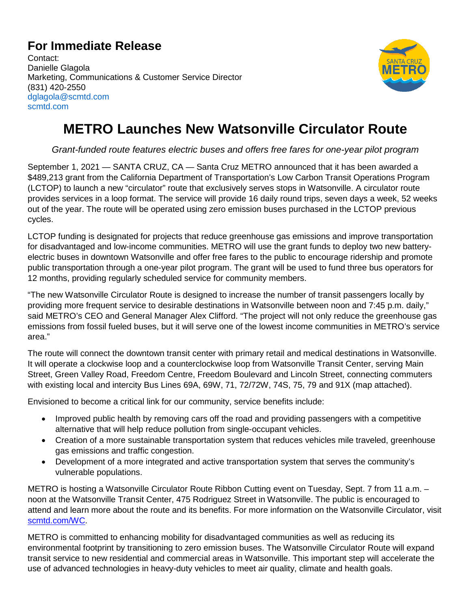## **For Immediate Release**

Contact: Danielle Glagola Marketing, Communications & Customer Service Director (831) 420-2550 dglagola@scmtd.com scmtd.com



## **METRO Launches New Watsonville Circulator Route**

*Grant-funded route features electric buses and offers free fares for one-year pilot program*

September 1, 2021 — SANTA CRUZ, CA — Santa Cruz METRO announced that it has been awarded a \$489,213 grant from the California Department of Transportation's Low Carbon Transit Operations Program (LCTOP) to launch a new "circulator" route that exclusively serves stops in Watsonville. A circulator route provides services in a loop format. The service will provide 16 daily round trips, seven days a week, 52 weeks out of the year. The route will be operated using zero emission buses purchased in the LCTOP previous cycles.

LCTOP funding is designated for projects that reduce greenhouse gas emissions and improve transportation for disadvantaged and low-income communities. METRO will use the grant funds to deploy two new batteryelectric buses in downtown Watsonville and offer free fares to the public to encourage ridership and promote public transportation through a one-year pilot program. The grant will be used to fund three bus operators for 12 months, providing regularly scheduled service for community members.

"The new Watsonville Circulator Route is designed to increase the number of transit passengers locally by providing more frequent service to desirable destinations in Watsonville between noon and 7:45 p.m. daily," said METRO's CEO and General Manager Alex Clifford. "The project will not only reduce the greenhouse gas emissions from fossil fueled buses, but it will serve one of the lowest income communities in METRO's service area."

The route will connect the downtown transit center with primary retail and medical destinations in Watsonville. It will operate a clockwise loop and a counterclockwise loop from Watsonville Transit Center, serving Main Street, Green Valley Road, Freedom Centre, Freedom Boulevard and Lincoln Street, connecting commuters with existing local and intercity Bus Lines 69A, 69W, 71, 72/72W, 74S, 75, 79 and 91X (map attached).

Envisioned to become a critical link for our community, service benefits include:

- Improved public health by removing cars off the road and providing passengers with a competitive alternative that will help reduce pollution from single-occupant vehicles.
- Creation of a more sustainable transportation system that reduces vehicles mile traveled, greenhouse gas emissions and traffic congestion.
- Development of a more integrated and active transportation system that serves the community's vulnerable populations.

METRO is hosting a Watsonville Circulator Route Ribbon Cutting event on Tuesday, Sept. 7 from 11 a.m. – noon at the Watsonville Transit Center, 475 Rodriguez Street in Watsonville. The public is encouraged to attend and learn more about the route and its benefits. For more information on the Watsonville Circulator, visit [scmtd.com/WC.](http://www.scmtd.com/WC)

METRO is committed to enhancing mobility for disadvantaged communities as well as reducing its environmental footprint by transitioning to zero emission buses. The Watsonville Circulator Route will expand transit service to new residential and commercial areas in Watsonville. This important step will accelerate the use of advanced technologies in heavy-duty vehicles to meet air quality, climate and health goals.